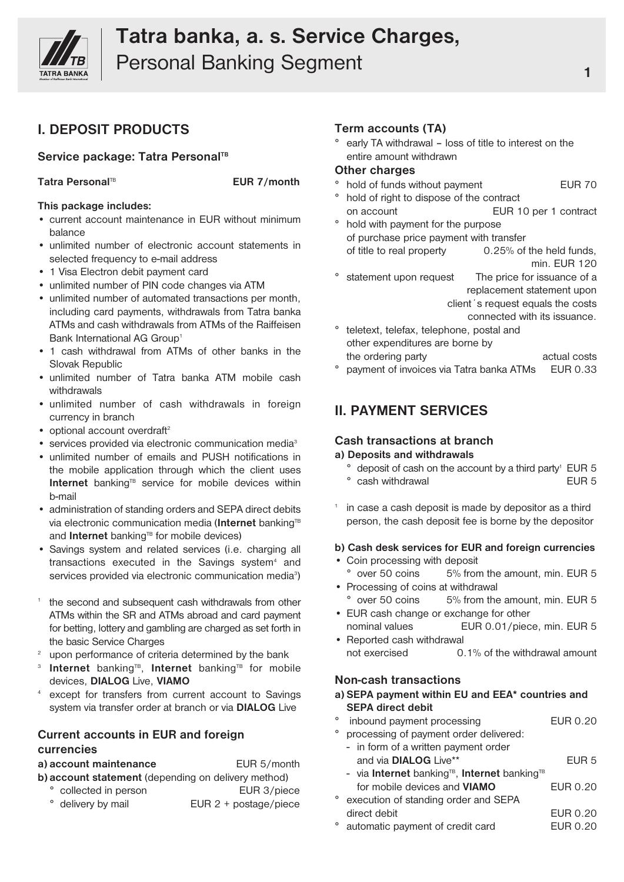

# **Tatra banka, a. s. Service Charges,** Personal Banking Segment **1 1 1 1 1 1**

## **I. DEPOSIT PRODUCTS**

## **Service package: Tatra Personal TB**

**Tatra Personal**

**EUR** 7/month

#### **This package includes:**

- current account maintenance in EUR without minimum balance
- unlimited number of electronic account statements in selected frequency to e-mail address
- 1 Visa Electron debit payment card
- unlimited number of PIN code changes via ATM
- unlimited number of automated transactions per month, including card payments, withdrawals from Tatra banka ATMs and cash withdrawals from ATMs of the Raiffeisen Bank International AG Group<sup>1</sup>
- 1 cash withdrawal from ATMs of other banks in the Slovak Republic
- unlimited number of Tatra banka ATM mobile cash withdrawals
- unlimited number of cash withdrawals in foreign currency in branch
- optional account overdraft<sup>2</sup>
- services provided via electronic communication media<sup>3</sup>
- unlimited number of emails and PUSH notifications in the mobile application through which the client uses Internet banking<sup>TB</sup> service for mobile devices within b-mail
- administration of standing orders and SEPA direct debits via electronic communication media (**Internet** banking<sup>TB</sup> and **Internet** banking<sup>®</sup> for mobile devices)
- Savings system and related services (i.e. charging all transactions executed in the Savings system<sup>4</sup> and services provided via electronic communication media<sup>3</sup>)
- <sup>1</sup> the second and subsequent cash withdrawals from other ATMs within the SR and ATMs abroad and card payment for betting, lottery and gambling are charged as set forth in the basic Service Charges
- <sup>2</sup> upon performance of criteria determined by the bank
- <sup>3</sup> Internet banking<sup>TB</sup>, Internet banking<sup>TB</sup> for mobile devices, **DIALOG** Live, **VIAMO**
- except for transfers from current account to Savings system via transfer order at branch or via **DIALOG** Live

## **Current accounts in EUR and foreign currencies**

| a) account maintenance                              | EUR 5/month                    |  |  |
|-----------------------------------------------------|--------------------------------|--|--|
| b) account statement (depending on delivery method) |                                |  |  |
| ° collected in person                               | EUR 3/piece                    |  |  |
| ° delivery by mail                                  | EUR $2 + \text{postage/piece}$ |  |  |

#### **Term accounts (TA)**

° early TA withdrawal – loss of title to interest on the entire amount withdrawn

#### **Other charges**

- ° hold of funds without payment EUR 70
	-
	- hold of right to dispose of the contract on account EUR 10 per 1 contract hold with payment for the purpose
- of purchase price payment with transfer of title to real property 0.25% of the held funds, min. EUR 120
- ° statement upon request The price for issuance of a replacement statement upon client´s request equals the costs connected with its issuance.
- ° teletext, telefax, telephone, postal and other expenditures are borne by the ordering party actual costs
- ° payment of invoices via Tatra banka ATMs EUR 0.33

## **II. PAYMENT SERVICES**

## **Cash transactions at branch**

#### **a) Deposits and withdrawals**

- $\degree$  deposit of cash on the account by a third party<sup>1</sup> EUR 5 ° cash withdrawal example and EUR 5
- <sup>1</sup> in case a cash deposit is made by depositor as a third person, the cash deposit fee is borne by the depositor

#### **b) Cash desk services for EUR and foreign currencies**

- Coin processing with deposit ° over 50 coins 5% from the amount, min. EUR 5
- Processing of coins at withdrawal ° over 50 coins 5% from the amount, min. EUR 5
- EUR cash change or exchange for other nominal values EUR 0.01/piece, min. EUR 5
- Reported cash withdrawal not exercised 0.1% of the withdrawal amount

#### **Non-cash transactions**

#### **a) SEPA payment within EU and EEA\* countries and SEPA direct debit**

- ° inbound payment processing EUR 0.20 ° processing of payment order delivered:
	- in form of a written payment order and via **DIALOG** Live\*\* EUR 5 - via **Internet** banking<sup>TB</sup>, **Internet** banking<sup>TE</sup> for mobile devices and **VIAMO** EUR 0.20
- ° execution of standing order and SEPA direct debit EUR 0.20
- ° automatic payment of credit card EUR 0.20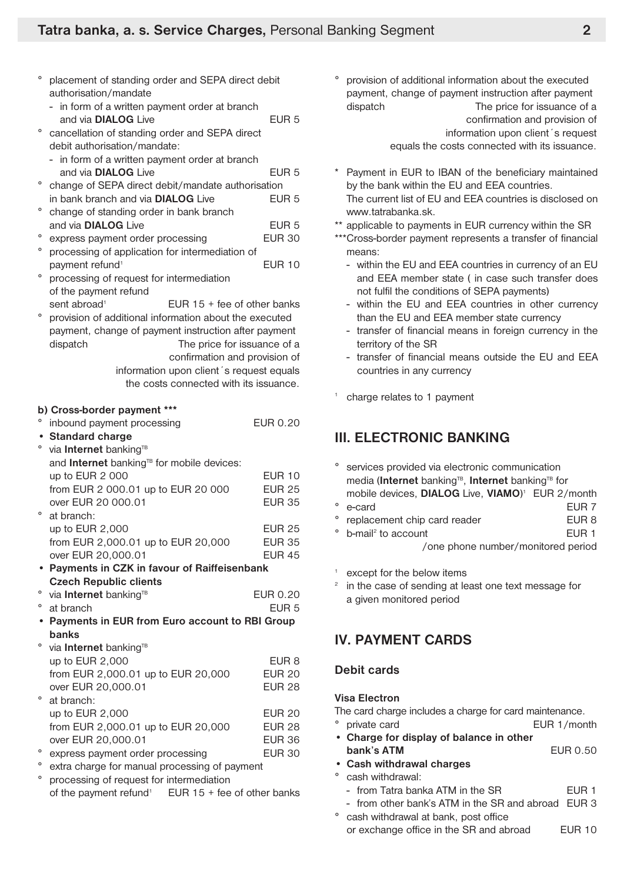- placement of standing order and SEPA direct debit authorisation/mandate
- in form of a written payment order at branch and via **DIALOG** Live EUR 5
- ° cancellation of standing order and SEPA direct debit authorisation/mandate:
	- in form of a written payment order at branch and via **DIALOG** Live **EUR 5**
- ° change of SEPA direct debit/mandate authorisation in bank branch and via **DIALOG** Live EUR 5
- ° change of standing order in bank branch and via **DIALOG** Live **EUR 5**
- ° express payment order processing EUR 30
- ° processing of application for intermediation of payment refund<sup>1</sup> EUR 10
- ° processing of request for intermediation of the payment refund sent abroad<sup>1</sup> EUR  $15 +$  fee of other banks
- ° provision of additional information about the executed payment, change of payment instruction after payment dispatch The price for issuance of a confirmation and provision of information upon client´s request equals
	- the costs connected with its issuance.

#### **b) Cross-border payment \*\*\***

| $\circ$   | inbound payment processing                                       | EUR 0.20         |
|-----------|------------------------------------------------------------------|------------------|
|           | • Standard charge                                                |                  |
| $\circ$   | via Internet banking <sup>TB</sup>                               |                  |
|           | and Internet banking <sup>TB</sup> for mobile devices:           |                  |
|           | up to EUR 2 000                                                  | <b>EUR 10</b>    |
|           | from EUR 2 000.01 up to EUR 20 000                               | <b>EUR 25</b>    |
|           | over EUR 20 000.01                                               | <b>EUR 35</b>    |
| $\circ$   | at branch:                                                       |                  |
|           | up to EUR 2,000                                                  | <b>EUR 25</b>    |
|           | from EUR 2,000.01 up to EUR 20,000                               | <b>EUR 35</b>    |
|           | over EUR 20,000.01                                               | <b>EUR 45</b>    |
|           | • Payments in CZK in favour of Raiffeisenbank                    |                  |
|           | <b>Czech Republic clients</b>                                    |                  |
| $\circ$   | via Internet banking <sup>TB</sup>                               | EUR 0.20         |
| $\circ$   | at branch                                                        | EUR <sub>5</sub> |
| $\bullet$ | Payments in EUR from Euro account to RBI Group                   |                  |
|           | <b>banks</b>                                                     |                  |
| $\circ$   | via Internet banking <sup>TB</sup>                               |                  |
|           | up to EUR 2,000                                                  | EUR 8            |
|           | from EUR 2,000.01 up to EUR 20,000                               | <b>EUR 20</b>    |
|           | over EUR 20,000.01                                               | <b>EUR 28</b>    |
| $\circ$   | at branch:                                                       |                  |
|           | up to EUR 2,000                                                  | <b>EUR 20</b>    |
|           | from EUR 2,000.01 up to EUR 20,000                               | <b>EUR 28</b>    |
|           | over EUR 20,000.01                                               | <b>EUR 36</b>    |
| $\circ$   | express payment order processing                                 | <b>EUR 30</b>    |
| $\circ$   | extra charge for manual processing of payment                    |                  |
| $\circ$   | processing of request for intermediation                         |                  |
|           | of the payment refund <sup>1</sup> EUR $15 +$ fee of other banks |                  |

° provision of additional information about the executed payment, change of payment instruction after payment dispatch The price for issuance of a

confirmation and provision of

- information upon client´s request
- equals the costs connected with its issuance.
- Payment in EUR to IBAN of the beneficiary maintained by the bank within the EU and EEA countries.
- The current list of EU and EEA countries is disclosed on www.tatrabanka.sk.
- applicable to payments in EUR currency within the SR
- \*\*\*Cross-border payment represents a transfer of financial means:
	- within the EU and EEA countries in currency of an EU and EEA member state ( in case such transfer does not fulfil the conditions of SEPA payments)
	- within the EU and EEA countries in other currency than the EU and EEA member state currency
	- transfer of financial means in foreign currency in the territory of the SR
	- transfer of financial means outside the EU and EEA countries in any currency
- <sup>1</sup> charge relates to 1 payment

## **III. ELECTRONIC BANKING**

- ° services provided via electronic communication media (**Internet** banking<sup>TB</sup>, **Internet** banking<sup>TB</sup> for mobile devices, **DIALOG** Live, **VIAMO**) <sup>1</sup> EUR 2/month ° e-card EUR 7 ° replacement chip card reader EUR 8 <sup>o</sup> b-mail<sup>2</sup> to account EUR 1 /one phone number/monitored period
- except for the below items
- in the case of sending at least one text message for a given monitored period

## **IV. PAYMENT CARDS**

#### **Debit cards**

#### **Visa Electron**

The card charge includes a charge for card maintenance.

- ° private card EUR 1/month
- **• Charge for display of balance in other bank's ATM** EUR 0.50
- **• Cash withdrawal charges**
- ° cash withdrawal:
	- from Tatra banka ATM in the SR EUR 1
	- from other bank's ATM in the SR and abroad EUR 3
- ° cash withdrawal at bank, post office or exchange office in the SR and abroad EUR 10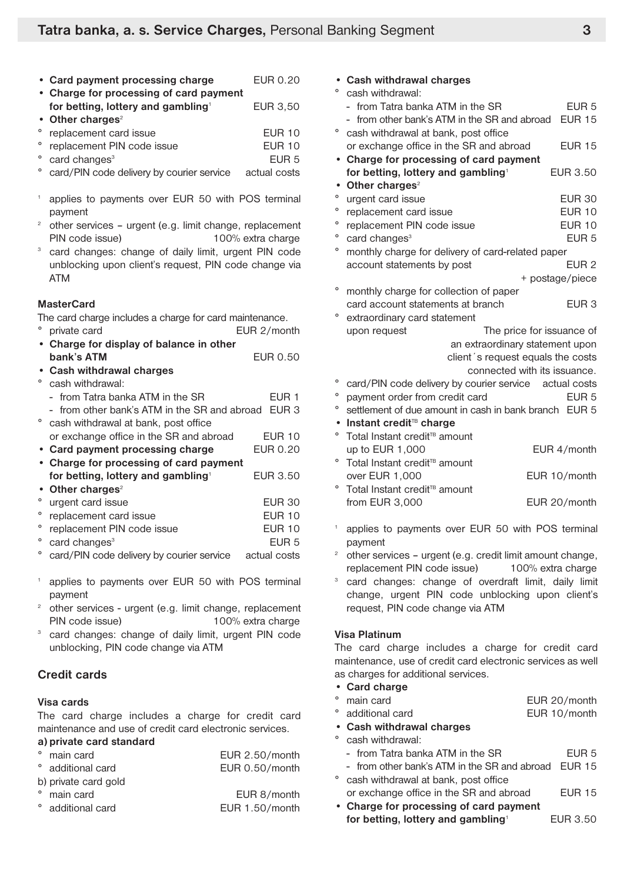| • Card payment processing charge               | EUR 0.20      |
|------------------------------------------------|---------------|
| • Charge for processing of card payment        |               |
| for betting, lottery and gambling <sup>1</sup> | EUR 3,50      |
| • Other charges $2$                            |               |
| ° replacement card issue                       | <b>EUR 10</b> |
| ° replacement PIN code issue                   | $E$ UR 10     |
| ° card changes <sup>3</sup>                    | EUR 5         |

- card/PIN code delivery by courier service actual costs
- applies to payments over EUR 50 with POS terminal payment
- $2$  other services urgent (e.g. limit change, replacement PIN code issue) 100% extra charge
- <sup>3</sup> card changes: change of daily limit, urgent PIN code unblocking upon client's request, PIN code change via ATM

#### **MasterCard**

The card charge includes a charge for card maintenance.

- ° private card EUR 2/month **• Charge for display of balance in other bank's ATM** EUR 0.50
- **• Cash withdrawal charges**
- cash withdrawal:
- from Tatra banka ATM in the SR EUR 1
- from other bank's ATM in the SR and abroad EUR 3
- ° cash withdrawal at bank, post office or exchange office in the SR and abroad EUR 10 **• Card payment processing charge** EUR 0.20 • **Charge for processing of card payment for betting, lottery and gambling**<sup>1</sup> EUR 3.50 **• Other charges**<sup>2</sup>
- ° urgent card issue EUR 30 ° replacement card issue EUR 10
- ° replacement PIN code issue EUR 10 card changes<sup>3</sup> EUR 5
- card/PIN code delivery by courier service actual costs
- applies to payments over EUR 50 with POS terminal payment
- $2$  other services urgent (e.g. limit change, replacement PIN code issue) 100% extra charge
- <sup>3</sup> card changes: change of daily limit, urgent PIN code unblocking, PIN code change via ATM

## **Credit cards**

#### **Visa cards**

The card charge includes a charge for credit card maintenance and use of credit card electronic services.

#### **a) private card standard**

| EUR 2.50/month                                                                               |
|----------------------------------------------------------------------------------------------|
| EUR 0.50/month                                                                               |
|                                                                                              |
| EUR 8/month                                                                                  |
| EUR 1.50/month                                                                               |
| ° main card<br>° additional card<br>b) private card gold<br>° main card<br>° additional card |

| <b>Cash withdrawal charges</b>                                    |                  |
|-------------------------------------------------------------------|------------------|
| $\circ$<br>cash withdrawal:                                       |                  |
| from Tatra banka ATM in the SR                                    | EUR <sub>5</sub> |
| - from other bank's ATM in the SR and abroad                      | <b>EUR 15</b>    |
| о<br>cash withdrawal at bank, post office                         |                  |
| or exchange office in the SR and abroad                           | <b>EUR 15</b>    |
| Charge for processing of card payment                             |                  |
| for betting, lottery and gambling <sup>1</sup>                    | <b>EUR 3.50</b>  |
| Other charges <sup>2</sup><br>$\bullet$                           |                  |
| o<br>urgent card issue                                            | <b>EUR 30</b>    |
| $\circ$<br>replacement card issue                                 | <b>EUR 10</b>    |
| $\circ$<br>replacement PIN code issue                             | <b>EUR 10</b>    |
| $\circ$<br>card changes <sup>3</sup>                              | EUR <sub>5</sub> |
| o<br>monthly charge for delivery of card-related paper            |                  |
| account statements by post                                        | EUR <sub>2</sub> |
|                                                                   | + postage/piece  |
| $\circ$<br>monthly charge for collection of paper                 |                  |
| card account statements at branch                                 | EUR <sub>3</sub> |
| о<br>extraordinary card statement                                 |                  |
| The price for issuance of<br>upon request                         |                  |
| an extraordinary statement upon                                   |                  |
| client's request equals the costs                                 |                  |
| connected with its issuance.                                      |                  |
| $\circ$<br>card/PIN code delivery by courier service actual costs |                  |
| $\circ$<br>payment order from credit card                         | EUR <sub>5</sub> |
| o<br>settlement of due amount in cash in bank branch EUR 5        |                  |
| Instant credit <sup>TB</sup> charge<br>$\bullet$                  |                  |
| $\circ$<br>Total Instant credit <sup>TB</sup> amount              |                  |
| up to EUR 1,000                                                   | EUR 4/month      |
| $\circ$<br>Total Instant credit <sup>TB</sup> amount              |                  |
| over EUR 1,000                                                    | EUR 10/month     |
| о<br>Total Instant credit <sup>TB</sup> amount                    |                  |
| from EUR 3,000                                                    | EUR 20/month     |
|                                                                   |                  |

- applies to payments over EUR 50 with POS terminal payment
- other services urgent (e.g. credit limit amount change, replacement PIN code issue) 100% extra charge
- card changes: change of overdraft limit, daily limit change, urgent PIN code unblocking upon client's request, PIN code change via ATM

#### **Visa Platinum**

The card charge includes a charge for credit card maintenance, use of credit card electronic services as well as charges for additional services.

- **• Card charge**
- main card **EUR 20/month**
- additional card **EUR 10/month**
- **• Cash withdrawal charges**
- cash withdrawal:
	- from Tatra banka ATM in the SR FUR 5
	- from other bank's ATM in the SR and abroad EUR 15
- ° cash withdrawal at bank, post office or exchange office in the SR and abroad EUR 15
- **Charge for processing of card payment for betting, lottery and gambling**<sup>1</sup> EUR 3.50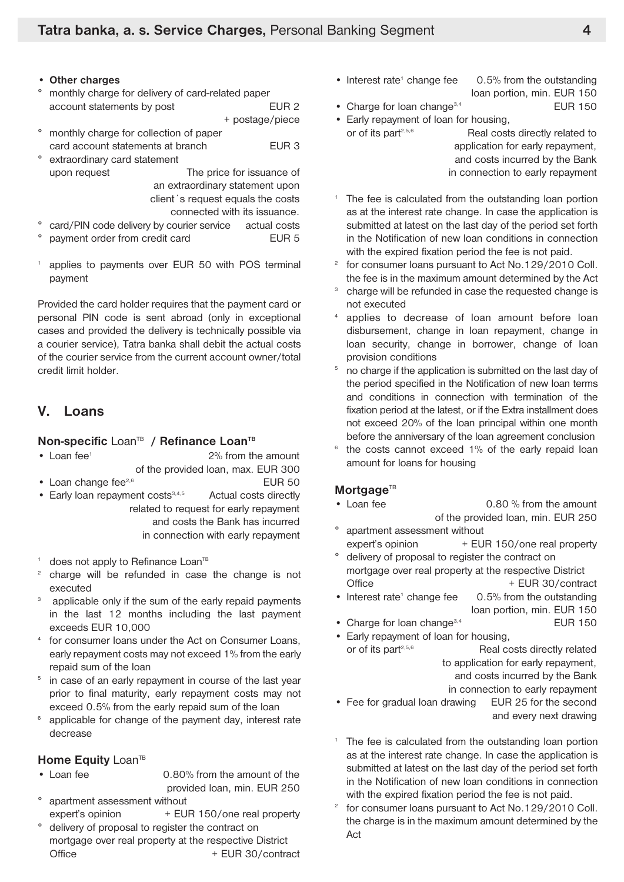- **• Other charges**
- ° monthly charge for delivery of card-related paper account statements by post Theorem 2 + postage/piece
- ° monthly charge for collection of paper card account statements at branch EUR 3
- ° extraordinary card statement upon request The price for issuance of an extraordinary statement upon client´s request equals the costs

connected with its issuance.

- card/PIN code delivery by courier service actual costs
- payment order from credit card EUR 5
- applies to payments over EUR 50 with POS terminal payment

Provided the card holder requires that the payment card or personal PIN code is sent abroad (only in exceptional cases and provided the delivery is technically possible via a courier service), Tatra banka shall debit the actual costs of the courier service from the current account owner/total credit limit holder.

## **V. Loans**

#### $$

- Loan fee<sup>1</sup> 2% from the amount
- of the provided loan, max. EUR 300 • Loan change fee<sup>2,6</sup> EUR 50
- Early loan repayment costs<sup>3,4,5</sup> Actual costs directly related to request for early repayment

and costs the Bank has incurred in connection with early repayment

- does not apply to Refinance Loan<sup>TB</sup>
- charge will be refunded in case the change is not executed
- applicable only if the sum of the early repaid payments in the last 12 months including the last payment exceeds EUR 10,000
- <sup>4</sup> for consumer loans under the Act on Consumer Loans, early repayment costs may not exceed 1% from the early repaid sum of the loan
- <sup>5</sup> in case of an early repayment in course of the last year prior to final maturity, early repayment costs may not exceed 0.5% from the early repaid sum of the loan
- <sup>6</sup> applicable for change of the payment day, interest rate decrease

#### **Home Equity** Loan<sup>TB</sup>

- Loan fee 0.80% from the amount of the provided loan, min. EUR 250
- apartment assessment without
- expert's opinion  $+$  EUR 150/one real property delivery of proposal to register the contract on mortgage over real property at the respective District Office + EUR 30/contract

• Interest rate<sup>1</sup> change fee  $0.5\%$  from the outstanding

loan portion, min. EUR 150 • Charge for loan change<sup>3,4</sup> EUR 150

- 
- Early repayment of loan for housing, or of its part<sup>2,5,6</sup> Real costs directly related to application for early repayment,

and costs incurred by the Bank in connection to early repayment

- The fee is calculated from the outstanding loan portion as at the interest rate change. In case the application is submitted at latest on the last day of the period set forth in the Notification of new loan conditions in connection with the expired fixation period the fee is not paid.
- for consumer loans pursuant to Act No.129/2010 Coll. the fee is in the maximum amount determined by the Act
- charge will be refunded in case the requested change is not executed
- applies to decrease of loan amount before loan disbursement, change in loan repayment, change in loan security, change in borrower, change of loan provision conditions
- <sup>5</sup> no charge if the application is submitted on the last day of the period specified in the Notification of new loan terms and conditions in connection with termination of the fixation period at the latest, or if the Extra installment does not exceed 20% of the loan principal within one month before the anniversary of the loan agreement conclusion
- <sup>6</sup> the costs cannot exceed 1% of the early repaid loan amount for loans for housing

#### **Mortgage**<sup>TB</sup>

- Loan fee 0.80 % from the amount of the provided loan, min. EUR 250
- apartment assessment without expert's opinion  $+$  EUR 150/one real property
- ° delivery of proposal to register the contract on mortgage over real property at the respective District Office + EUR 30/contract
- Interest rate<sup>1</sup> change fee  $0.5\%$  from the outstanding loan portion, min. EUR 150
- Charge for loan change<sup>3,4</sup> EUR 150
- Early repayment of loan for housing, or of its part<sup>2,5,6</sup> Real costs directly related to application for early repayment, and costs incurred by the Bank

in connection to early repayment

- Fee for gradual loan drawing EUR 25 for the second and every next drawing
- <sup>1</sup> The fee is calculated from the outstanding loan portion as at the interest rate change. In case the application is submitted at latest on the last day of the period set forth in the Notification of new loan conditions in connection with the expired fixation period the fee is not paid.
- for consumer loans pursuant to Act No.129/2010 Coll. the charge is in the maximum amount determined by the Act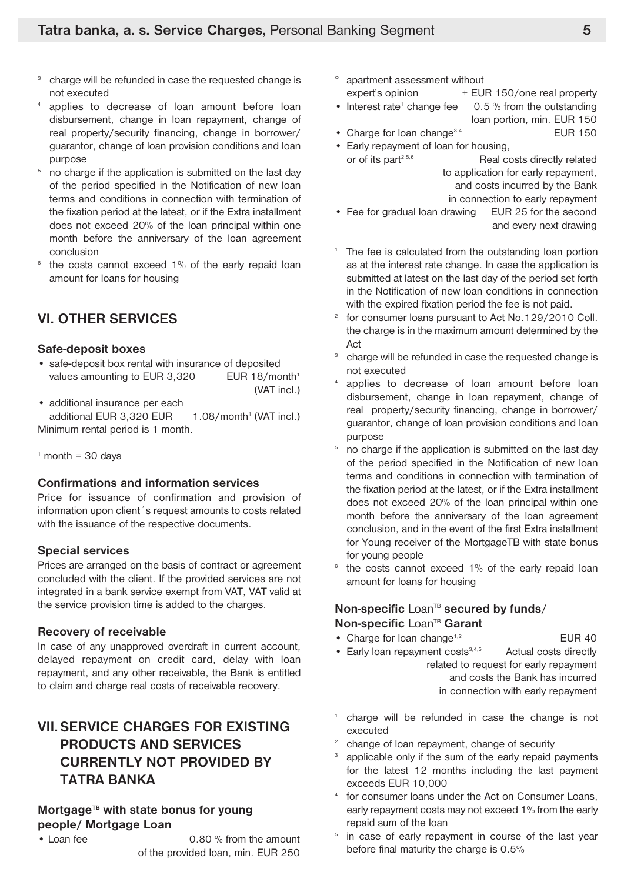- charge will be refunded in case the requested change is not executed
- applies to decrease of loan amount before loan disbursement, change in loan repayment, change of real property/security financing, change in borrower/ guarantor, change of loan provision conditions and loan purpose
- <sup>5</sup> no charge if the application is submitted on the last day of the period specified in the Notification of new loan terms and conditions in connection with termination of the fixation period at the latest, or if the Extra installment does not exceed 20% of the loan principal within one month before the anniversary of the loan agreement conclusion
- $6$  the costs cannot exceed 1% of the early repaid loan amount for loans for housing

## **VI. OTHER SERVICES**

#### **Safe-deposit boxes**

- safe-deposit box rental with insurance of deposited values amounting to EUR 3,320 EUR 18/month<sup>1</sup> (VAT incl.)
- additional insurance per each additional EUR  $3,320$  EUR  $1.08$ /month<sup>1</sup> (VAT incl.) Minimum rental period is 1 month.

 $<sup>1</sup>$  month = 30 days</sup>

#### **Confirmations and information services**

Price for issuance of confirmation and provision of information upon client´s request amounts to costs related with the issuance of the respective documents.

#### **Special services**

Prices are arranged on the basis of contract or agreement concluded with the client. If the provided services are not integrated in a bank service exempt from VAT, VAT valid at the service provision time is added to the charges.

## **Recovery of receivable**

In case of any unapproved overdraft in current account, delayed repayment on credit card, delay with loan repayment, and any other receivable, the Bank is entitled to claim and charge real costs of receivable recovery.

## **VII.SERVICE CHARGES FOR EXISTING PRODUCTS AND SERVICES CURRENTLY NOT PROVIDED BY TATRA BANKA**

## **MortgageTB with state bonus for young people/ Mortgage Loan**

• Loan fee 0.80 % from the amount of the provided loan, min. EUR 250

- ° apartment assessment without expert's opinion  $+$  EUR 150/one real property
- Interest rate<sup>1</sup> change fee  $0.5\%$  from the outstanding loan portion, min. EUR 150
- Charge for loan change<sup>3,4</sup> EUR 150
- Early repayment of loan for housing, or of its part $2,5,6$ Real costs directly related to application for early repayment,

and costs incurred by the Bank

in connection to early repayment

- Fee for gradual loan drawing EUR 25 for the second and every next drawing
- <sup>1</sup> The fee is calculated from the outstanding loan portion as at the interest rate change. In case the application is submitted at latest on the last day of the period set forth in the Notification of new loan conditions in connection with the expired fixation period the fee is not paid.
- <sup>2</sup> for consumer loans pursuant to Act No. 129/2010 Coll. the charge is in the maximum amount determined by the Act
- <sup>3</sup> charge will be refunded in case the requested change is not executed
- applies to decrease of loan amount before loan disbursement, change in loan repayment, change of real property/security financing, change in borrower/ guarantor, change of loan provision conditions and loan purpose
- $5$  no charge if the application is submitted on the last day of the period specified in the Notification of new loan terms and conditions in connection with termination of the fixation period at the latest, or if the Extra installment does not exceed 20% of the loan principal within one month before the anniversary of the loan agreement conclusion, and in the event of the first Extra installment for Young receiver of the MortgageTB with state bonus for young people
- $6$  the costs cannot exceed 1% of the early repaid loan amount for loans for housing

## **Non-specific** Loan<sup>TB</sup> secured by funds/ **Non-specific** Loan<sup>TB</sup> Garant

- Charge for loan change<sup>1,2</sup> EUR 40
	-
- Early loan repayment costs<sup>3,4,5</sup> Actual costs directly related to request for early repayment and costs the Bank has incurred in connection with early repayment
- charge will be refunded in case the change is not executed
- change of loan repayment, change of security
- applicable only if the sum of the early repaid payments for the latest 12 months including the last payment exceeds EUR 10,000
- for consumer loans under the Act on Consumer Loans, early repayment costs may not exceed 1% from the early repaid sum of the loan
- <sup>5</sup> in case of early repayment in course of the last year before final maturity the charge is 0.5%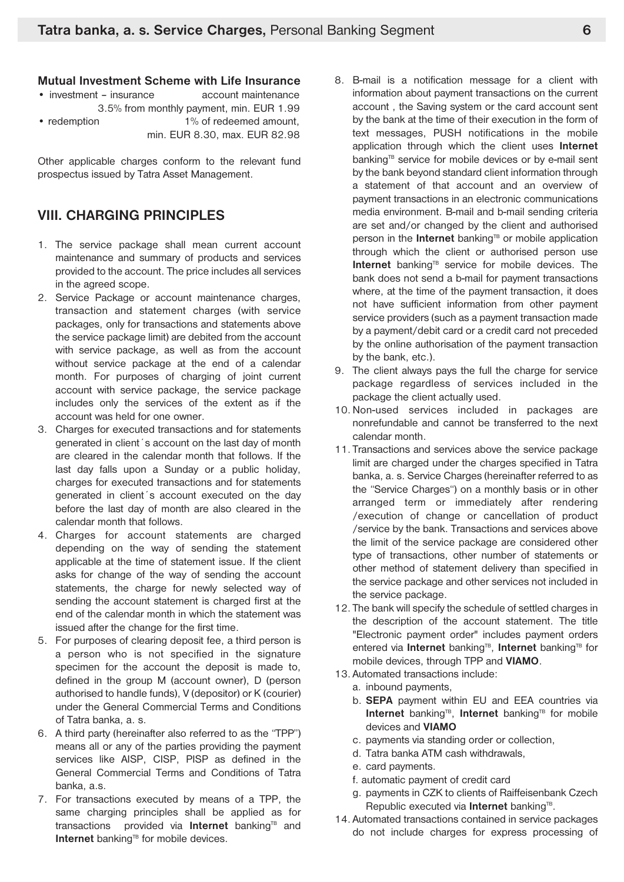#### **Mutual Investment Scheme with Life Insurance**

| • investment – insurance | account maintenance                      |
|--------------------------|------------------------------------------|
|                          | 3.5% from monthly payment, min. EUR 1.99 |
| • redemption             | 1% of redeemed amount.                   |
|                          | min, EUR 8.30, max, EUR 82.98            |

Other applicable charges conform to the relevant fund prospectus issued by Tatra Asset Management.

## **VIII. CHARGING PRINCIPLES**

- 1. The service package shall mean current account maintenance and summary of products and services provided to the account. The price includes all services in the agreed scope.
- 2. Service Package or account maintenance charges, transaction and statement charges (with service packages, only for transactions and statements above the service package limit) are debited from the account with service package, as well as from the account without service package at the end of a calendar month. For purposes of charging of joint current account with service package, the service package includes only the services of the extent as if the account was held for one owner.
- 3. Charges for executed transactions and for statements generated in client´s account on the last day of month are cleared in the calendar month that follows. If the last day falls upon a Sunday or a public holiday, charges for executed transactions and for statements generated in client´s account executed on the day before the last day of month are also cleared in the calendar month that follows.
- 4. Charges for account statements are charged depending on the way of sending the statement applicable at the time of statement issue. If the client asks for change of the way of sending the account statements, the charge for newly selected way of sending the account statement is charged first at the end of the calendar month in which the statement was issued after the change for the first time.
- 5. For purposes of clearing deposit fee, a third person is a person who is not specified in the signature specimen for the account the deposit is made to, defined in the group M (account owner), D (person authorised to handle funds), V (depositor) or K (courier) under the General Commercial Terms and Conditions of Tatra banka, a. s.
- 6. A third party (hereinafter also referred to as the "TPP") means all or any of the parties providing the payment services like AISP, CISP, PISP as defined in the General Commercial Terms and Conditions of Tatra banka, a.s.
- 7. For transactions executed by means of a TPP, the same charging principles shall be applied as for transactions provided via **Internet** banking<sup>TB</sup> and **Internet** banking<sup>TB</sup> for mobile devices.
- 8. B-mail is a notification message for a client with information about payment transactions on the current account , the Saving system or the card account sent by the bank at the time of their execution in the form of text messages, PUSH notifications in the mobile application through which the client uses **Internet** banking<sup>TB</sup> service for mobile devices or by e-mail sent by the bank beyond standard client information through a statement of that account and an overview of payment transactions in an electronic communications media environment. B-mail and b-mail sending criteria are set and/or changed by the client and authorised person in the **Internet** banking<sup>TB</sup> or mobile application through which the client or authorised person use Internet banking<sup>TB</sup> service for mobile devices. The bank does not send a b-mail for payment transactions where, at the time of the payment transaction, it does not have sufficient information from other payment service providers (such as a payment transaction made by a payment/debit card or a credit card not preceded by the online authorisation of the payment transaction by the bank, etc.).
- 9. The client always pays the full the charge for service package regardless of services included in the package the client actually used.
- 10.Non-used services included in packages are nonrefundable and cannot be transferred to the next calendar month.
- 11. Transactions and services above the service package limit are charged under the charges specified in Tatra banka, a. s. Service Charges (hereinafter referred to as the "Service Charges") on a monthly basis or in other arranged term or immediately after rendering /execution of change or cancellation of product /service by the bank. Transactions and services above the limit of the service package are considered other type of transactions, other number of statements or other method of statement delivery than specified in the service package and other services not included in the service package.
- 12. The bank will specify the schedule of settled charges in the description of the account statement. The title "Electronic payment order" includes payment orders entered via **Internet** banking<sup>TB</sup>, Internet banking<sup>TB</sup> for mobile devices, through TPP and **VIAMO**.
- 13. Automated transactions include:
	- a. inbound payments,
	- b. **SEPA** payment within EU and EEA countries via **Internet** banking<sup>TB</sup>, **Internet** banking<sup>TB</sup> for mobile devices and **VIAMO**
	- c. payments via standing order or collection,
	- d. Tatra banka ATM cash withdrawals,
	- e. card payments.
	- f. automatic payment of credit card
	- g. payments in CZK to clients of Raiffeisenbank Czech Republic executed via **Internet** banking<sup>TB</sup>.
- 14. Automated transactions contained in service packages do not include charges for express processing of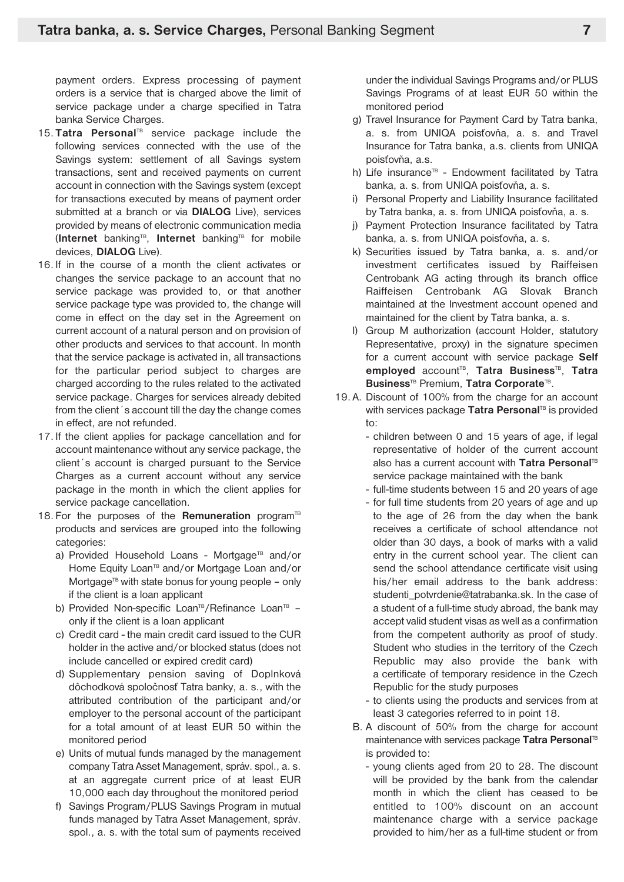payment orders. Express processing of payment orders is a service that is charged above the limit of service package under a charge specified in Tatra banka Service Charges.

- 15. Tatra Personal<sup>TB</sup> service package include the following services connected with the use of the Savings system: settlement of all Savings system transactions, sent and received payments on current account in connection with the Savings system (except for transactions executed by means of payment order submitted at a branch or via **DIALOG** Live), services provided by means of electronic communication media (Internet banking<sup>TB</sup>, Internet banking<sup>TB</sup> for mobile devices, **DIALOG** Live).
- 16. If in the course of a month the client activates or changes the service package to an account that no service package was provided to, or that another service package type was provided to, the change will come in effect on the day set in the Agreement on current account of a natural person and on provision of other products and services to that account. In month that the service package is activated in, all transactions for the particular period subject to charges are charged according to the rules related to the activated service package. Charges for services already debited from the client´s account till the day the change comes in effect, are not refunded.
- 17. If the client applies for package cancellation and for account maintenance without any service package, the client´s account is charged pursuant to the Service Charges as a current account without any service package in the month in which the client applies for service package cancellation.
- 18. For the purposes of the **Remuneration** program<sup>TB</sup> products and services are grouped into the following categories:
	- a) Provided Household Loans Mortgage<sup>TB</sup> and/or Home Equity Loan<sup>TB</sup> and/or Mortgage Loan and/or Mortgage<sup>TB</sup> with state bonus for young people  $-$  only if the client is a loan applicant
	- b) Provided Non-specific Loan<sup>TB</sup>/Refinance Loan<sup>TB</sup> only if the client is a loan applicant
	- c) Credit card the main credit card issued to the CUR holder in the active and/or blocked status (does not include cancelled or expired credit card)
	- d) Supplementary pension saving of Doplnková dôchodková spoločnosť Tatra banky, a. s., with the attributed contribution of the participant and/or employer to the personal account of the participant for a total amount of at least EUR 50 within the monitored period
	- e) Units of mutual funds managed by the management company Tatra Asset Management, správ. spol., a. s. at an aggregate current price of at least EUR 10,000 each day throughout the monitored period
	- f) Savings Program/PLUS Savings Program in mutual funds managed by Tatra Asset Management, správ. spol., a. s. with the total sum of payments received

under the individual Savings Programs and/or PLUS Savings Programs of at least EUR 50 within the monitored period

- g) Travel Insurance for Payment Card by Tatra banka, a. s. from UNIQA poisťovňa, a. s. and Travel Insurance for Tatra banka, a.s. clients from UNIQA poisťovňa, a.s.
- h) Life insurance<sup>TB</sup> Endowment facilitated by Tatra banka, a. s. from UNIQA poisťovňa, a. s.
- i) Personal Property and Liability Insurance facilitated by Tatra banka, a. s. from UNIQA poisťovňa, a. s.
- j) Payment Protection Insurance facilitated by Tatra banka, a. s. from UNIQA poisťovňa, a. s.
- k) Securities issued by Tatra banka, a. s. and/or investment certificates issued by Raiffeisen Centrobank AG acting through its branch office Raiffeisen Centrobank AG Slovak Branch maintained at the Investment account opened and maintained for the client by Tatra banka, a. s.
- l) Group M authorization (account Holder, statutory Representative, proxy) in the signature specimen for a current account with service package **Self employed** account TB , **Tatra Business**TB , **Tatra Business**TB Premium, **Tatra Corporate**TB .
- 19. A. Discount of 100% from the charge for an account with services package Tatra Personal<sup>TB</sup> is provided to:
	- children between 0 and 15 years of age, if legal representative of holder of the current account also has a current account with **Tatra Personal**<sup>TE</sup> service package maintained with the bank
	- full-time students between 15 and 20 years of age
	- for full time students from 20 years of age and up to the age of 26 from the day when the bank receives a certificate of school attendance not older than 30 days, a book of marks with a valid entry in the current school year. The client can send the school attendance certificate visit using his/her email address to the bank address: studenti\_potvrdenie@tatrabanka.sk. In the case of a student of a full-time study abroad, the bank may accept valid student visas as well as a confirmation from the competent authority as proof of study. Student who studies in the territory of the Czech Republic may also provide the bank with a certificate of temporary residence in the Czech Republic for the study purposes
	- to clients using the products and services from at least 3 categories referred to in point 18.
	- B. A discount of 50% from the charge for account maintenance with services package **Tatra Personal**<sup>TE</sup> is provided to:
		- young clients aged from 20 to 28. The discount will be provided by the bank from the calendar month in which the client has ceased to be entitled to 100% discount on an account maintenance charge with a service package provided to him/her as a full-time student or from